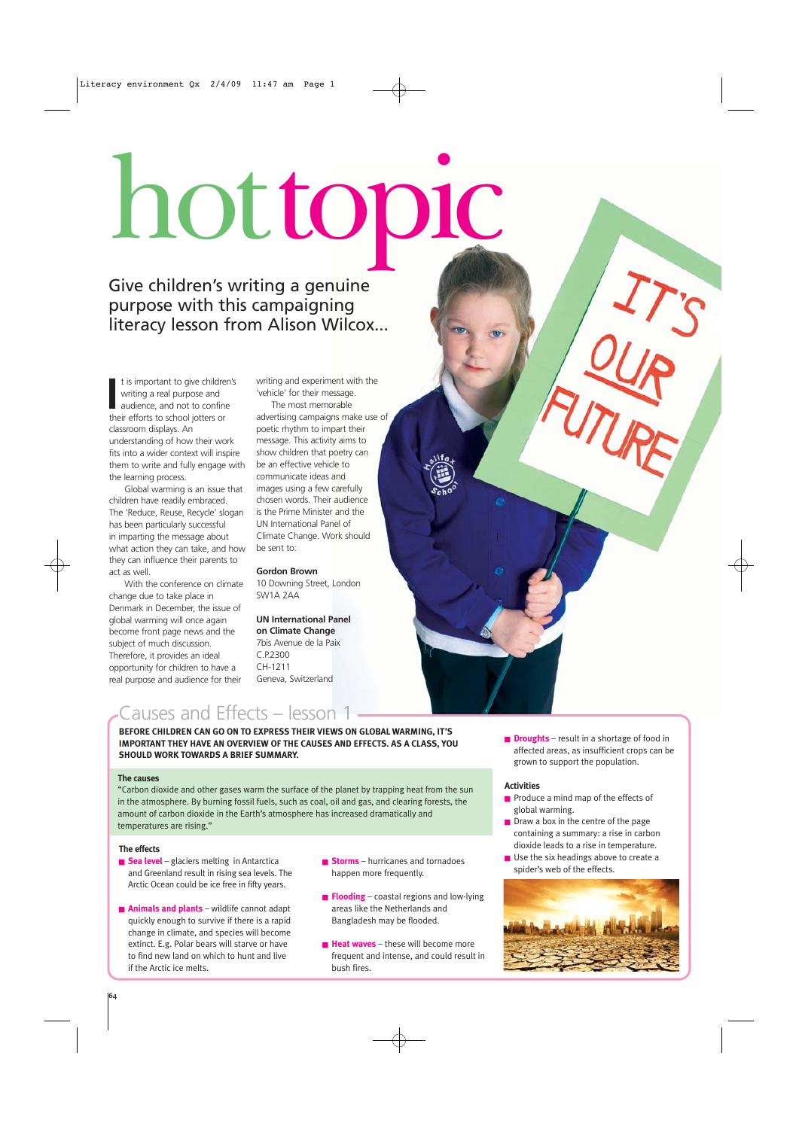# hottopic

## Give children's writing a genuine purpose with this campaigning literacy lesson from Alison Wilcox...

**I** is important to give childre writing a real purpose and audience, and not to confinitheir efforts to school jotters or t is important to give children's writing a real purpose and audience, and not to confine classroom displays. An understanding of how their work fits into a wider context will inspire them to write and fully engage with the learning process.

Global warming is an issue that children have readily embraced. The 'Reduce, Reuse, Recycle' slogan has been particularly successful in imparting the message about what action they can take, and how they can influence their parents to act as well.

With the conference on climate change due to take place in Denmark in December, the issue of global warming will once again become front page news and the subject of much discussion. Therefore, it provides an ideal opportunity for children to have a real purpose and audience for their writing and experiment with the 'vehicle' for their message.

The most memorable advertising campaigns make use of poetic rhythm to impart their message. This activity aims to show children that poetry can be an effective vehicle to communicate ideas and images using a few carefully chosen words. Their audience is the Prime Minister and the UN International Panel of Climate Change. Work should be sent to:

#### **Gordon Brown**

10 Downing Street, London SW1A 2AA

**UN International Panel on Climate Change** 7bis Avenue de la Paix C.P.2300 CH-1211 Geneva, Switzerland

## Causes and Effects – lesson 1

**BEFORE CHILDREN CAN GO ON TO EXPRESS THEIR VIEWS ON GLOBAL WARMING, IT'S IMPORTANT THEY HAVE AN OVERVIEW OF THE CAUSES AND EFFECTS. AS A CLASS, YOU SHOULD WORK TOWARDS A BRIEF SUMMARY.** 

#### **The causes**

"Carbon dioxide and other gases warm the surface of the planet by trapping heat from the sun in the atmosphere. By burning fossil fuels, such as coal, oil and gas, and clearing forests, the amount of carbon dioxide in the Earth's atmosphere has increased dramatically and temperatures are rising."

#### **The effects**

- **Sea level** glaciers melting in Antarctica and Greenland result in rising sea levels. The Arctic Ocean could be ice free in fifty years.
- **Animals and plants** wildlife cannot adapt quickly enough to survive if there is a rapid change in climate, and species will become extinct. E.g. Polar bears will starve or have to find new land on which to hunt and live if the Arctic ice melts.
- **Externs** hurricanes and tornadoes happen more frequently.
- **Flooding** coastal regions and low-lying areas like the Netherlands and Bangladesh may be flooded.
- **Heat waves** these will become more frequent and intense, and could result in bush fires.

■ **Droughts** – result in a shortage of food in affected areas, as insufficient crops can be grown to support the population.

#### **Activities**

- Produce a mind map of the effects of global warming.
- Draw a box in the centre of the page containing a summary: a rise in carbon dioxide leads to a rise in temperature.
- Use the six headings above to create a spider's web of the effects.